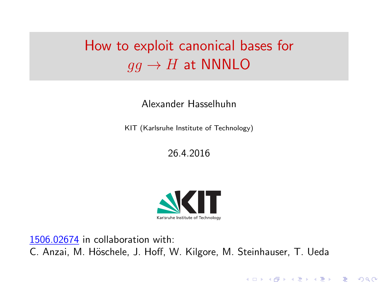# <span id="page-0-0"></span>How to exploit canonical bases for  $q\bar{q} \rightarrow H$  at NNNLO

#### Alexander Hasselhuhn

KIT (Karlsruhe Institute of Technology)

26.4.2016



メロトメ 御 トメ 君 トメ 君 トリー君

 $2Q$ 

[1506.02674](http://arxiv.org/abs/1506.02674) in collaboration with: C. Anzai, M. Höschele, J. Hoff, W. Kilgore, M. Steinhauser, T. Ueda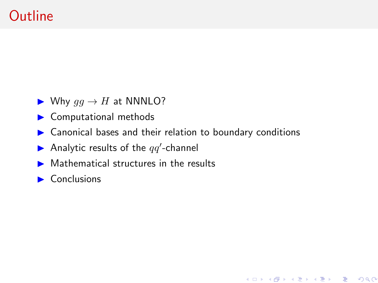## **Outline**

- $\blacktriangleright$  Why  $gg \to H$  at NNNLO?
- $\triangleright$  Computational methods
- $\triangleright$  Canonical bases and their relation to boundary conditions

メロト メ御 トメ 君 トメ 君 トッ 君 …

 $299$ 

- Analytic results of the  $qq'$ -channel
- $\triangleright$  Mathematical structures in the results
- $\blacktriangleright$  Conclusions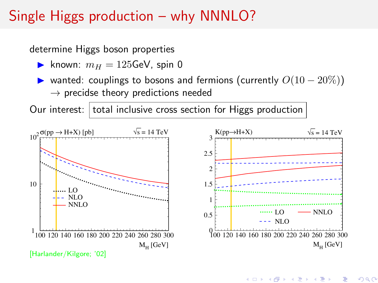## Single Higgs production – why NNNLO?

determine Higgs boson properties

- **In** known:  $m_H = 125$ GeV, spin 0
- $\triangleright$  wanted: couplings to bosons and fermions (currently  $O(10-20\%)$ )  $\rightarrow$  precidse theory predictions needed

Our interest: total inclusive cross section for Higgs production



(ロ) (個) (星) (星)

重

 $2Q$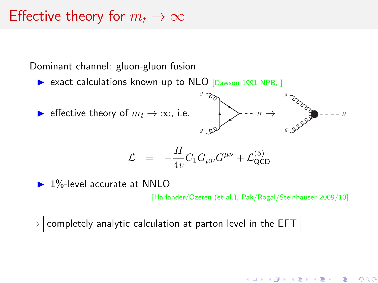#### Effective theory for  $m_t \to \infty$

Dominant channel: gluon-gluon fusion

 $\triangleright$  exact calculations known up to NLO [Dawson 1991 NPB, ]



$$
\mathcal{L} = -\frac{H}{4v}C_1G_{\mu\nu}G^{\mu\nu} + \mathcal{L}_{\text{QCD}}^{(5)}
$$

 $\blacktriangleright$  1%-level accurate at NNLO

[Harlander/Ozeren (et al.), Pak/Rogal/Steinhauser 2009/10]

メロト メタト メミト メミト

つへへ

 $\rightarrow$  completely analytic calculation at parton level in the EFT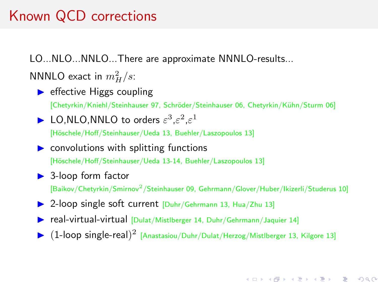## Known QCD corrections

LO...NLO...NNLO...There are approximate NNNLO-results...

NNNLO exact in  $m_H^2/s$ :

 $\blacktriangleright$  effective Higgs coupling

[Chetyrkin/Kniehl/Steinhauser 97, Schr¨oder/Steinhauser 06, Chetyrkin/K¨uhn/Sturm 06]

► LO, NLO, NNLO to orders  $\varepsilon^3$ ,  $\varepsilon^2$ ,  $\varepsilon^1$ 

[Höschele/Hoff/Steinhauser/Ueda 13, Buehler/Laszopoulos 13]

- $\triangleright$  convolutions with splitting functions [Höschele/Hoff/Steinhauser/Ueda 13-14, Buehler/Laszopoulos 13]
- $\triangleright$  3-loop form factor

[Baikov/Chetyrkin/Smirnov<sup>2</sup>/Steinhauser 09, Gehrmann/Glover/Huber/Ikizerli/Studerus 10]

- 12-loop single soft current [Duhr/Gehrmann 13, Hua/Zhu 13]
- ▶ real-virtual-virtual [Dulat/Mistlberger 14, Duhr/Gehrmann/Jaquier 14]
- $\triangleright$   $(1\text{-loop single-real})^2$  [Anastasiou/Duhr/Dulat/Herzog/Mistlberger 13, Kilgore 13]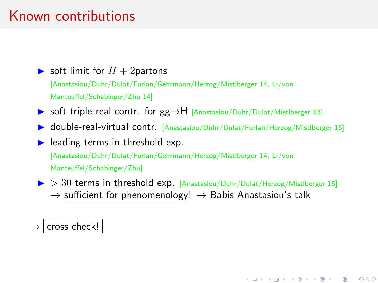## Known contributions

#### $\triangleright$  soft limit for  $H + 2$ partons

[Anastasiou/Duhr/Dulat/Furlan/Gehrmann/Herzog/Mistlberger 14, Li/von Manteuffel/Schabinger/Zhu 14]

- ▶ soft triple real contr. for  $gg \rightarrow H$  [Anastasiou/Duhr/Dulat/MistIberger 13]
- ▶ double-real-virtual contr. [Anastasiou/Duhr/Dulat/Furlan/Herzog/Mistlberger 15]

 $\blacktriangleright$  leading terms in threshold exp.

[Anastasiou/Duhr/Dulat/Furlan/Gehrmann/Herzog/Mistlberger 14, Li/von

Manteuffel/Schabinger/Zhu]

 $\triangleright$   $>$  30 terms in threshold exp. [Anastasiou/Duhr/Dulat/Herzog/MistIberger 15]  $\rightarrow$  sufficient for phenomenology!  $\rightarrow$  Babis Anastasiou's talk

メロト 大御 トメ 君 トメ 君 トッ 君 し

 $299$ 

#### $\rightarrow$  cross check!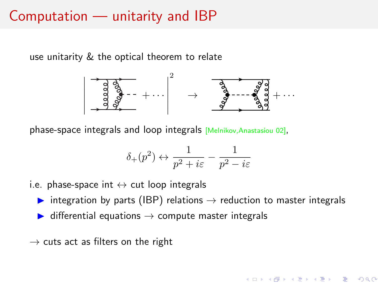## Computation — unitarity and IBP

use unitarity & the optical theorem to relate



phase-space integrals and loop integrals [Melnikov,Anastasiou 02],

$$
\delta_+(p^2)\leftrightarrow \frac{1}{p^2+i\varepsilon}-\frac{1}{p^2-i\varepsilon}
$$

- i.e. phase-space int  $\leftrightarrow$  cut loop integrals
	- integration by parts (IBP) relations  $\rightarrow$  reduction to master integrals

メロト メ部 トメ 君 トメ 君 ト

- $\triangleright$  differential equations  $\rightarrow$  compute master integrals
- $\rightarrow$  cuts act as filters on the right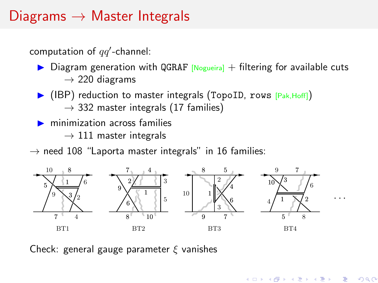## <span id="page-7-0"></span>Diagrams  $\rightarrow$  Master Integrals

computation of  $qq'$ -channel:

- $\triangleright$  Diagram generation with QGRAF  $[N_{\text{opueiral}}]$  + filtering for available cuts  $\rightarrow$  220 diagrams
- I (IBP) reduction to master integrals (TopoID, rows [Pak, Hoff])  $\rightarrow$  332 master integrals (17 families)
- minimization across families
	- $\rightarrow$  111 master integrals
- $\rightarrow$  need 108 "Laporta master integrals" in 16 families:



重

つへへ

Check: general gauge parameter  $\xi$  vanishes<br>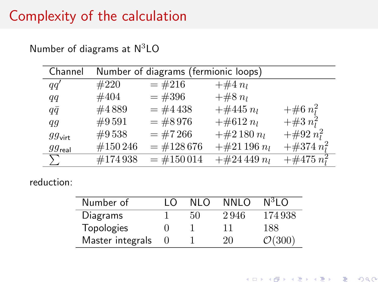## <span id="page-8-0"></span>Complexity of the calculation

| Channel            | Number of diagrams (fermionic loops) |             |                |                 |  |  |
|--------------------|--------------------------------------|-------------|----------------|-----------------|--|--|
| qa'                | #220                                 | $=$ #216    | $+#4 n_l$      |                 |  |  |
| qq                 | #404                                 | $=$ #396    | $+\#8 n_l$     |                 |  |  |
| $q\bar{q}$         | #4889                                | $=$ #4438   | $+#445 n_l$    | $+\#6 n_l^2$    |  |  |
| $q\overline{q}$    | $\#9591$                             | $=$ #8976   | $+\#612 n_l$   | $+\#3 n_l^2$    |  |  |
| $gg_{\text{virt}}$ | #9538                                | $=$ #7266   | $+\#2180 n_l$  | $+\#92 n_l^2$   |  |  |
| $gg_{\text{real}}$ | #150 246                             | $=$ #128676 | $+\#21196 n_l$ | $+\#374\;n_1^2$ |  |  |
|                    | #174938                              | $=$ #150014 | $+#24449 n_l$  | $+\#475 n_i^2$  |  |  |

Number of diagrams at  $N^3LO$ 

reduction:

| Number of        | ı∩ | NI O | NNI O | $N^3$ I O          |
|------------------|----|------|-------|--------------------|
| Diagrams         |    | 50   | 2946  | 174938             |
| Topologies       |    |      | 11    | 188                |
| Master integrals |    |      | 20    | $\mathcal{O}(300)$ |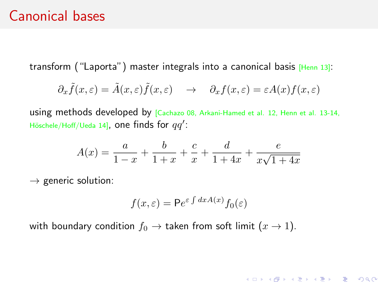#### Canonical bases

transform ("Laporta") master integrals into a canonical basis [Henn 13]:

$$
\partial_x \tilde{f}(x,\varepsilon) = \tilde{A}(x,\varepsilon)\tilde{f}(x,\varepsilon) \quad \to \quad \partial_x f(x,\varepsilon) = \varepsilon A(x)f(x,\varepsilon)
$$

using methods developed by [Cachazo 08, Arkani-Hamed et al. 12, Henn et al. 13-14, Höschele/Hoff/Ueda 14], one finds for  $q\overline{q}^{\prime}$ :

$$
A(x) = \frac{a}{1-x} + \frac{b}{1+x} + \frac{c}{x} + \frac{d}{1+4x} + \frac{e}{x\sqrt{1+4x}}
$$

 $\rightarrow$  generic solution:

$$
f(x,\varepsilon) = \mathsf{P}e^{\varepsilon \int dx A(x)} f_0(\varepsilon)
$$

K ロ ▶ K @ ▶ K 할 ▶ K 할 ▶ → 할 → 9 Q @

with boundary condition  $f_0 \to$  taken from soft limit  $(x \to 1)$ .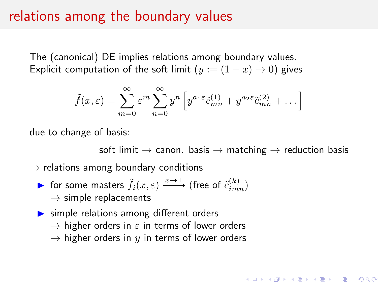#### relations among the boundary values

The (canonical) DE implies relations among boundary values. Explicit computation of the soft limit  $(y := (1 - x) \rightarrow 0)$  gives

$$
\tilde{f}(x,\varepsilon) = \sum_{m=0}^{\infty} \varepsilon^m \sum_{n=0}^{\infty} y^n \left[ y^{a_1 \varepsilon} \tilde{c}_{mn}^{(1)} + y^{a_2 \varepsilon} \tilde{c}_{mn}^{(2)} + \dots \right]
$$

due to change of basis:

soft limit  $\rightarrow$  canon. basis  $\rightarrow$  matching  $\rightarrow$  reduction basis

K ロ ▶ K @ ▶ K 할 ▶ K 할 ▶ → 할 → 9 Q @

 $\rightarrow$  relations among boundary conditions

- ► for some masters  $\tilde{f}_i(x,\varepsilon) \xrightarrow{x \to 1}$  (free of  $\tilde{c}_{imn}^{(k)}$ )  $\rightarrow$  simple replacements
- $\triangleright$  simple relations among different orders  $\rightarrow$  higher orders in  $\varepsilon$  in terms of lower orders  $\rightarrow$  higher orders in y in terms of lower orders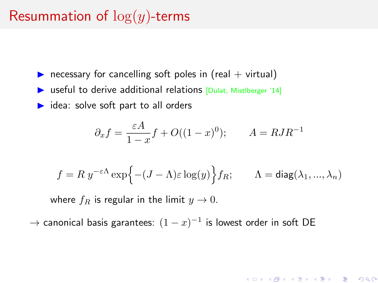## Resummation of  $log(y)$ -terms

- **P** necessary for cancelling soft poles in (real  $+$  virtual)
- $\triangleright$  useful to derive additional relations [Dulat, Mistlberger '14]
- $\blacktriangleright$  idea: solve soft part to all orders

$$
\partial_x f = \frac{\varepsilon A}{1 - x} f + O((1 - x)^0); \qquad A = R J R^{-1}
$$

$$
f = R y^{-\varepsilon \Lambda} \exp \Bigl\{ -(J - \Lambda) \varepsilon \log(y) \Bigr\} f_R; \qquad \Lambda = \text{diag}(\lambda_1, ..., \lambda_n)
$$

メロトメ 御 トメ 君 トメ 君 トッ 君

 $299$ 

where  $f_R$  is regular in the limit  $y \to 0$ .

 $\rightarrow$  canonical basis garantees:  $(1-x)^{-1}$  is lowest order in soft DE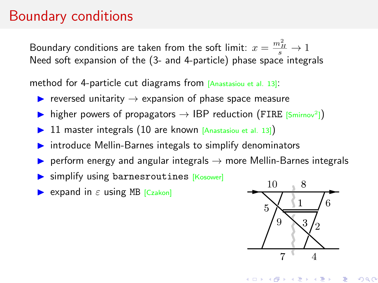#### <span id="page-12-0"></span>Boundary conditions

Boundary conditions are taken from the soft limit:  $x = \frac{m_H^2}{s} \to 1$ Need soft expansion of the (3- and 4-particle) phase space integrals

method for 4-particle cut diagrams from [Anastasiou et al. 13]:

- **IF** reversed unitarity  $\rightarrow$  expansion of phase space measure
- $\triangleright$  higher powers of propagators  $\rightarrow$  IBP reduction (FIRE [Smirnov<sup>2</sup>])
- $\triangleright$  11 master integrals (10 are known [Anastasiou et al. 13])
- $\triangleright$  introduce Mellin-Barnes integals to simplify denominators
- **Exerge Figure 3** perform energy and angular integrals  $\rightarrow$  more Mellin-Barnes integrals
- $\triangleright$  simplify using barnesroutines [Kosower]
- $\triangleright$  expand in  $\varepsilon$  using MB [Czakon]



**[B](#page-13-0)[T](#page-0-0)2 A BT2 A BT2 A BT2** 

重

 $2Q$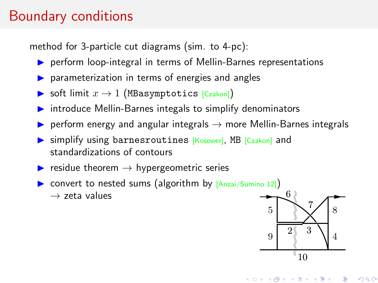## <span id="page-13-0"></span>Boundary conditions

method for 3-particle cut diagrams (sim. to 4-pc):

- **P** perform loop-integral in terms of Mellin-Barnes representations
- **In parameterization in terms of energies and angles**
- Soft limit  $x \to 1$  (MBasymptotics [Czakon])
- Introduce Mellin-Barnes integals to simplify denominators simplify defior
- ▶ perform energy and angular integrals  $\rightarrow$  more Mellin-Barnes integrals tors<br><sup>3</sup>arnes inte<sub>l</sub><br>nd
- $\triangleright$  simplify using barnesroutines [Kosower], MB  $[C_{zakon}]$  and standardizations of contours 4 arameterization in terms of energies<br>oft limit  $x \to 1$  (MBasymptotics [Cz<br>troduce Mellin-Barnes integals to si<br>erform energy and angular integrals<br>mplify using barnesroutines [Kosor<br>candardizations of contours
- $\blacktriangleright$  residue theorem  $\rightarrow$  hypergeometric series
- $\triangleright \text{ convert to nested sums (algorithm by } [\text{Anzai/Sumino 12}])$  $\rightarrow$  zeta values  $\frac{1}{2}$   $\frac{1}{2}$   $\frac{1}{2}$



つへへ

KTD X K @ X X 至 X X 至 X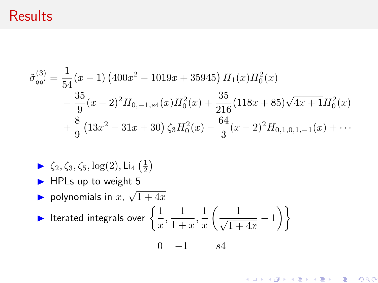## **Results**

$$
\tilde{\sigma}_{qq'}^{(3)} = \frac{1}{54}(x-1)\left(400x^2 - 1019x + 35945\right)H_1(x)H_0^2(x)
$$
  
 
$$
- \frac{35}{9}(x-2)^2H_{0,-1,s4}(x)H_0^2(x) + \frac{35}{216}(118x+85)\sqrt{4x+1}H_0^2(x)
$$
  
 
$$
+ \frac{8}{9}\left(13x^2+31x+30\right)\zeta_3H_0^2(x) - \frac{64}{3}(x-2)^2H_{0,1,0,1,-1}(x) + \cdots
$$

K ロ ▶ K @ ▶ K 할 ▶ K 할 ▶ → 할 → 9 Q @

- $\blacktriangleright \zeta_2, \zeta_3, \zeta_5, \log(2), \text{Li}_4(\frac{1}{2})$
- $\blacktriangleright$  HPLs up to weight 5

1

► Polynomials in  $x$ ,  $\sqrt{1+4x}$ 

$$
\blacktriangleright \text{ Iterated integrals over } \left\{ \frac{1}{x}, \frac{1}{1+x}, \frac{1}{x} \left( \frac{1}{\sqrt{1+4x}} - 1 \right) \right\}
$$
  
0 -1 s4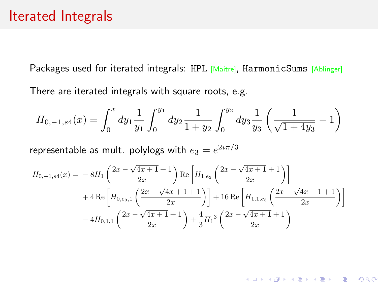#### Iterated Integrals

Packages used for iterated integrals: HPL [Maitre], HarmonicSums [Ablinger] There are iterated integrals with square roots, e.g.

$$
H_{0,-1,s4}(x) = \int_0^x dy_1 \frac{1}{y_1} \int_0^{y_1} dy_2 \frac{1}{1+y_2} \int_0^{y_2} dy_3 \frac{1}{y_3} \left( \frac{1}{\sqrt{1+4y_3}} - 1 \right)
$$

representable as mult. polylogs with  $e_3=e^{2i\pi/3}$ 

$$
H_{0,-1,s4}(x) = -8H_1 \left( \frac{2x - \sqrt{4x + 1} + 1}{2x} \right) \text{Re}\left[ H_{1,e_3} \left( \frac{2x - \sqrt{4x + 1} + 1}{2x} \right) \right] + 4 \text{Re}\left[ H_{0,e_3,1} \left( \frac{2x - \sqrt{4x + 1} + 1}{2x} \right) \right] + 16 \text{Re}\left[ H_{1,1,e_3} \left( \frac{2x - \sqrt{4x + 1} + 1}{2x} \right) \right] - 4H_{0,1,1} \left( \frac{2x - \sqrt{4x + 1} + 1}{2x} \right) + \frac{4}{3} H_1^3 \left( \frac{2x - \sqrt{4x + 1} + 1}{2x} \right)
$$

K ロ K K 레 K K B K X B K X B X Y Q Q Q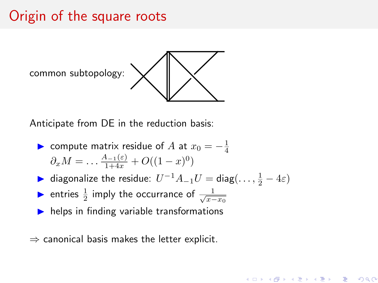## Origin of the square roots



Anticipate from DE in the reduction basis:

- ► compute matrix residue of A at  $x_0 = -\frac{1}{4}$  $\partial_x M = \dots \frac{A_{-1}(\varepsilon)}{1+4x} + O((1-x)^0)$
- ► diagonalize the residue:  $U^{-1}A_{-1}U = \text{diag}(\dots, \frac{1}{2} 4\varepsilon)$

◆ロト→個ト→老ト→老ト→老

 $2Q$ 

- ► entries  $\frac{1}{2}$  imply the occurrance of  $\frac{1}{\sqrt{x-x_0}}$
- $\blacktriangleright$  helps in finding variable transformations
- $\Rightarrow$  canonical basis makes the letter explicit.